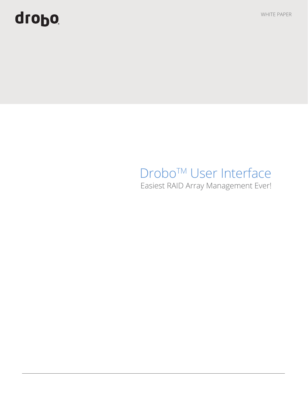# quopo

WHITE PAPER

# Drobo™ User Interface

Easiest RAID Array Management Ever!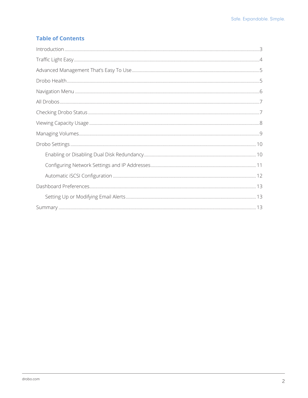# **Table of Contents**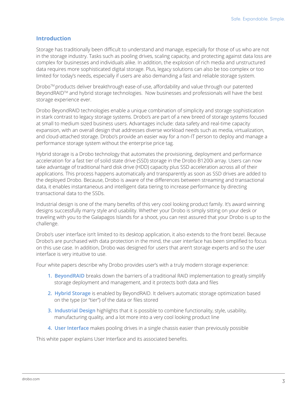### **Introduction**

Storage has traditionally been difficult to understand and manage, especially for those of us who are not in the storage industry. Tasks such as pooling drives, scaling capacity, and protecting against data loss are complex for businesses and individuals alike. In addition, the explosion of rich media and unstructured data requires more sophisticated digital storage. Plus, legacy solutions can also be too complex or too limited for today's needs, especially if users are also demanding a fast and reliable storage system.

DroboTM products deliver breakthrough ease-of-use, affordability and value through our patented BeyondRAID<sup>™</sup> and hybrid storage technologies. Now businesses and professionals will have the best storage experience ever.

Drobo BeyondRAID technologies enable a unique combination of simplicity and storage sophistication in stark contrast to legacy storage systems. Drobo's are part of a new breed of storage systems focused at small to medium sized business users. Advantages include: data safety and real-time capacity expansion, with an overall design that addresses diverse workload needs such as media, virtualization, and cloud-attached storage. Drobo's provide an easier way for a non-IT person to deploy and manage a performance storage system without the enterprise price tag.

Hybrid storage is a Drobo technology that automates the provisioning, deployment and performance acceleration for a fast tier of solid state drive (SSD) storage in the Drobo B1200i array. Users can now take advantage of traditional hard disk drive (HDD) capacity plus SSD acceleration across all of their applications. This process happens automatically and transparently as soon as SSD drives are added to the deployed Drobo. Because, Drobo is aware of the differences between streaming and transactional data, it enables instantaneous and intelligent data tiering to increase performance by directing transactional data to the SSDs.

Industrial design is one of the many benefits of this very cool looking product family. It's award winning designs successfully marry style and usability. Whether your Drobo is simply sitting on your desk or traveling with you to the Galapagos Islands for a shoot, you can rest assured that your Drobo is up to the challenge.

Drobo's user interface isn't limited to its desktop application, it also extends to the front bezel. Because Drobo's are purchased with data protection in the mind, the user interface has been simplified to focus on this use case. In addition, Drobo was designed for users that aren't storage experts and so the user interface is very intuitive to use.

Four white papers describe why Drobo provides user's with a truly modern storage experience:

- **1. BeyondRAID** breaks down the barriers of a traditional RAID implementation to greatly simplify storage deployment and management, and it protects both data and files
- **2. Hybrid Storage** is enabled by BeyondRAID. It delivers automatic storage optimization based on the type (or "tier") of the data or files stored
- **3. Industrial Design** highlights that it is possible to combine functionality, style, usability, manufacturing quality, and a lot more into a very cool looking product line
- **4. User Interface** makes pooling drives in a single chassis easier than previously possible

This white paper explains User Interface and its associated benefits.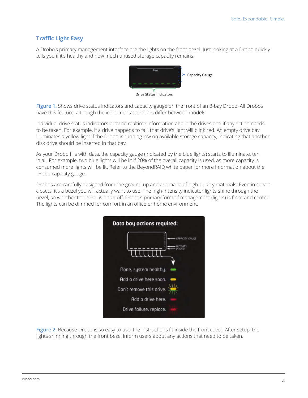# **Traffic Light Easy**

A Drobo's primary management interface are the lights on the front bezel. Just looking at a Drobo quickly tells you if it's healthy and how much unused storage capacity remains.



**Figure 1.** Shows drive status indicators and capacity gauge on the front of an 8-bay Drobo. All Drobos have this feature, although the implementation does differ between models.

Individual drive status indicators provide realtime information about the drives and if any action needs to be taken. For example, if a drive happens to fail, that drive's light will blink red. An empty drive bay illuminates a yellow light if the Drobo is running low on available storage capacity, indicating that another disk drive should be inserted in that bay.

As your Drobo fills with data, the capacity gauge (indicated by the blue lights) starts to illuminate, ten in all. For example, two blue lights will be lit if 20% of the overall capacity is used, as more capacity is consumed more lights will be lit. Refer to the BeyondRAID white paper for more information about the Drobo capacity gauge.

Drobos are carefully designed from the ground up and are made of high-quality materials. Even in server closets, it's a bezel you will actually want to use! The high-intensity indicator lights shine through the bezel, so whether the bezel is on or off, Drobo's primary form of management (lights) is front and center. The lights can be dimmed for comfort in an office or home environment.



**Figure 2.** Because Drobo is so easy to use, the instructions fit inside the front cover. After setup, the lights shinning through the front bezel inform users about any actions that need to be taken.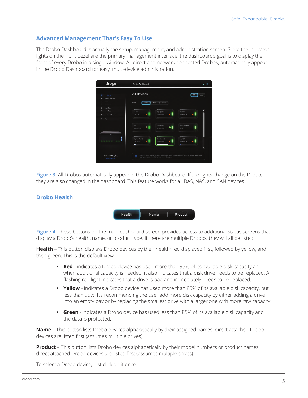# **Advanced Management That's Easy To Use**

The Drobo Dashboard is actually the setup, management, and administration screen. Since the indicator lights on the front bezel are the primary management interface, the dashboard's goal is to display the front of every Drobo in a single window. All direct and network connected Drobos, automatically appear in the Drobo Dashboard for easy, multi-device administration.



**Figure 3.** All Drobos automatically appear in the Drobo Dashboard. If the lights change on the Drobo, they are also changed in the dashboard. This feature works for all DAS, NAS, and SAN devices.

# **Drobo Health**



**Figure 4.** These buttons on the main dashboard screen provides access to additional status screens that display a Drobo's health, name, or product type. If there are multiple Drobos, they will all be listed.

**Health** – This button displays Drobo devices by their health; red displayed first, followed by yellow, and then green. This is the default view.

- **• Red**  indicates a Drobo device has used more than 95% of its available disk capacity and when additional capacity is needed, it also indicates that a disk drive needs to be replaced. A flashing red light indicates that a drive is bad and immediately needs to be replaced.
- **• Yellow** indicates a Drobo device has used more than 85% of its available disk capacity, but less than 95%. It's recommending the user add more disk capacity by either adding a drive into an empty bay or by replacing the smallest drive with a larger one with more raw capacity.
- **• Green** indicates a Drobo device has used less than 85% of its available disk capacity and the data is protected.

**Name** – This button lists Drobo devices alphabetically by their assigned names, direct attached Drobo devices are listed first (assumes multiple drives).

**Product** – This button lists Drobo devices alphabetically by their model numbers or product names, direct attached Drobo devices are listed first (assumes multiple drives).

To select a Drobo device, just click on it once.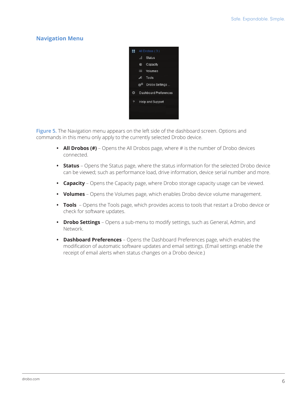# **Navigation Menu**



**Figure 5.** The Navigation menu appears on the left side of the dashboard screen. Options and commands in this menu only apply to the currently selected Drobo device.

- **• All Drobos (#)**  Opens the All Drobos page, where # is the number of Drobo devices connected.
- **• Status** Opens the Status page, where the status information for the selected Drobo device can be viewed; such as performance load, drive information, device serial number and more.
- **• Capacity** Opens the Capacity page, where Drobo storage capacity usage can be viewed.
- **• Volumes** Opens the Volumes page, which enables Drobo device volume management.
- **• Tools** Opens the Tools page, which provides access to tools that restart a Drobo device or check for software updates.
- **• Drobo Settings** Opens a sub-menu to modify settings, such as General, Admin, and Network.
- **• Dashboard Preferences** Opens the Dashboard Preferences page, which enables the modification of automatic software updates and email settings. (Email settings enable the receipt of email alerts when status changes on a Drobo device.)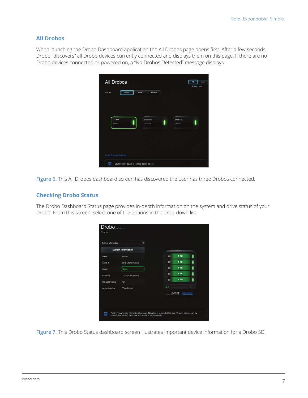#### **All Drobos**

When launching the Drobo Dashboard application the All Drobos page opens first. After a few seconds, Drobo "discovers" all Drobo devices currently connected and displays them on this page. If there are no Drobo devices connected or powered on, a "No Drobos Detected" message displays.

| All Drobos<br>Sort By:<br>Health                                                   | Name<br>Product      | 88<br>$\equiv$<br>Icons   List           |
|------------------------------------------------------------------------------------|----------------------|------------------------------------------|
| Drobo<br>Drobo                                                                     | DroboPro<br>DroboPro | Drobo <sub>S</sub><br>Drobo <sub>S</sub> |
| Drobo Discovery Settings<br>T<br>Double-click a device to open its details screen. |                      |                                          |

**Figure 6.** This All Drobos dashboard screen has discovered the user has three Drobos connected.

#### **Checking Drobo Status**

The Drobo Dashboard Status page provides in-depth information on the system and drive status of your Drobo. From this screen, select one of the options in the drop-down list.

| System Information        | ≂                   |                                 |           |      |
|---------------------------|---------------------|---------------------------------|-----------|------|
| <b>System Information</b> |                     |                                 |           |      |
| Name<br>Drobo             |                     | 画                               | 1 TB      |      |
| Serial #                  | DRB123201700012     | E                               | $1$ TB    | ı    |
| Good<br>Health            |                     | $=$                             | $1$ TB    | ı    |
| Firmware                  | 3.0.0 [7.105.56104] | $\blacksquare$                  | $1$ TB    | ı    |
| Hot Data Cache<br>On      |                     | $=$                             | $1$ TB    |      |
| Active Interface          | Thunderbolt         | $\bullet$ (b)                   | -----<br> | und- |
|                           |                     | mSATA SSD<br>Accelerator active |           |      |

**Figure 7.** This Drobo Status dashboard screen illustrates important device information for a Drobo 5D.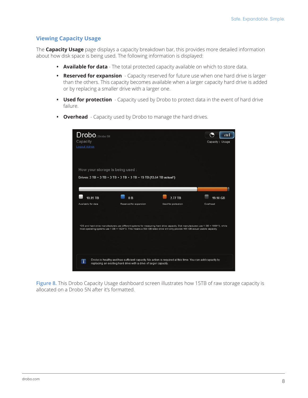## **Viewing Capacity Usage**

The **Capacity Usage** page displays a capacity breakdown bar, this provides more detailed information about how disk space is being used. The following information is displayed:

- **• Available for data**  The total protected capacity available on which to store data.
- **• Reserved for expansion**  Capacity reserved for future use when one hard drive is larger than the others. This capacity becomes available when a larger capacity hard drive is added or by replacing a smaller drive with a larger one.
- **• Used for protection**  Capacity used by Drobo to protect data in the event of hard drive failure.





**Figure 8.** This Drobo Capacity Usage dashboard screen illustrates how 15TB of raw storage capacity is allocated on a Drobo 5N after it's formatted.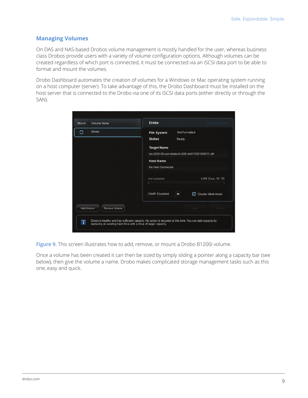# **Managing Volumes**

On DAS and NAS-based Drobos volume management is mostly handled for the user, whereas business class Drobos provide users with a variety of volume configuration options. Although volumes can be created regardless of which port is connected, it must be connected via an iSCSI data port to be able to format and mount the volumes.

Drobo Dashboard automates the creation of volumes for a Windows or Mac operating system running on a host computer (server). To take advantage of this, the Drobo Dashboard must be installed on the host server that is connected to the Drobo via one of its iSCSI data ports (either directly or through the SAN).

| Mount      | Volume Name   | <b>Drobo</b>          |       |                                                  |
|------------|---------------|-----------------------|-------|--------------------------------------------------|
| ∩          | Drobo         | <b>File System</b>    |       | Not Formatted                                    |
|            |               | <b>Status</b>         | Ready |                                                  |
|            |               | <b>Target Name</b>    |       |                                                  |
|            |               |                       |       | ign.2005-06.com.drobo:b1200i.drd113301000011.id0 |
|            |               | <b>Host Name</b>      |       |                                                  |
|            |               | No Host Connected     |       |                                                  |
|            |               | Not available         |       | LUN Size: 16 TB                                  |
|            |               |                       |       |                                                  |
|            |               | <b>CHAP: Disabled</b> | ▼     | Cluster (Multi-Host)<br>Ø                        |
| Add Volume | Remove Volume |                       |       | Revert<br>Apply                                  |
|            |               |                       |       |                                                  |

**Figure 9.** This screen illustrates how to add, remove, or mount a Drobo B1200i volume.

Once a volume has been created it can then be sized by simply sliding a pointer along a capacity bar (see below), then give the volume a name. Drobo makes complicated storage management tasks such as this one, easy and quick.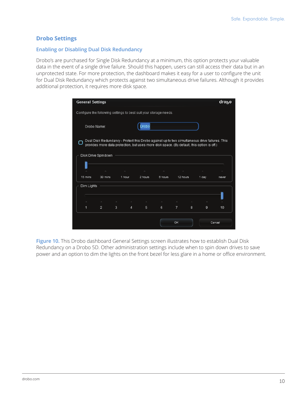#### **Drobo Settings**

#### **Enabling or Disabling Dual Disk Redundancy**

Drobo's are purchased for Single Disk Redundancy at a minimum, this option protects your valuable data in the event of a single drive failure. Should this happen, users can still access their data but in an unprotected state. For more protection, the dashboard makes it easy for a user to configure the unit for Dual Disk Redundancy which protects against two simultaneous drive failures. Although it provides additional protection, it requires more disk space.

| <b>General Settings</b>                                           |                     |   |                |         |                                                                                                                                                                                             |          |   |       | droho  |
|-------------------------------------------------------------------|---------------------|---|----------------|---------|---------------------------------------------------------------------------------------------------------------------------------------------------------------------------------------------|----------|---|-------|--------|
| Configure the following settings to best suit your storage needs. |                     |   |                |         |                                                                                                                                                                                             |          |   |       |        |
| Drobo Name:                                                       |                     |   | <b>Drobo</b>   |         |                                                                                                                                                                                             |          |   |       |        |
|                                                                   |                     |   |                |         | Dual Disk Redundancy - Protect this Drobo against up to two simultaneous drive failures. This<br>provides more data protection, but uses more disk space. (By default, this option is off.) |          |   |       |        |
|                                                                   | Disk Drive Spindown |   |                |         |                                                                                                                                                                                             |          |   |       |        |
|                                                                   |                     |   |                |         |                                                                                                                                                                                             |          |   |       |        |
| 15 mins                                                           | 30 mins             |   | 1 hour         | 2 hours | 6 hours                                                                                                                                                                                     | 12 hours |   | 1 day | never  |
| Dim Lights                                                        |                     |   |                |         |                                                                                                                                                                                             |          |   |       |        |
|                                                                   |                     |   |                |         |                                                                                                                                                                                             |          |   |       |        |
| 1                                                                 | $\overline{2}$      | 3 | $\overline{4}$ | 5       | 6                                                                                                                                                                                           | 7        | 8 | 9     | 10     |
|                                                                   |                     |   |                |         |                                                                                                                                                                                             | OK       |   |       | Cancel |

**Figure 10.** This Drobo dashboard General Settings screen illustrates how to establish Dual Disk Redundancy on a Drobo 5D. Other administration settings include when to spin down drives to save power and an option to dim the lights on the front bezel for less glare in a home or office environment.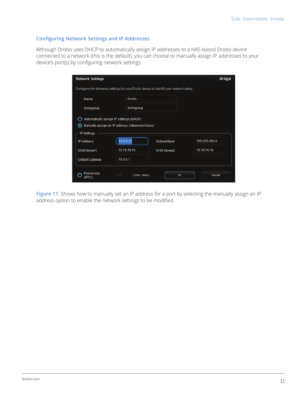#### **Configuring Network Settings and IP Addresses**

Although Drobo uses DHCP to automatically assign IP addresses to a NAS-based Drobo device connected to a network (this is the default), you can choose to manually assign IP addresses to your device's port(s) by configuring network settings.

| <b>Network Settings</b>  |                                                                                           |                                                                                        | drobo         |
|--------------------------|-------------------------------------------------------------------------------------------|----------------------------------------------------------------------------------------|---------------|
|                          |                                                                                           | Configure the following settings for your Drobo device to best fit your network setup. |               |
| Name                     | Drobo                                                                                     |                                                                                        |               |
| Workgroup                | Workgroup                                                                                 |                                                                                        |               |
| $\bullet$<br>IP Settings | Automatically assign IP settings (DHCP)<br>Manually assign an IP address (Advanced Users) |                                                                                        |               |
| <b>IP Address</b>        | 10.0.0.12                                                                                 | Subnet Mask                                                                            | 255 255 255.0 |
| <b>DNS Server1</b>       | 75.75.75.75                                                                               | DNS Server2                                                                            | 75.75.76.76   |
| Default Gateway          | 10.0.0.1                                                                                  |                                                                                        |               |
| Frame size<br>(MTU)      | 1500<br>$(1500 - 9000)$                                                                   | OK                                                                                     | Cancel        |

Figure 11. Shows how to manually set an IP address for a port by selecting the manually assign an IP address option to enable the network settings to be modified.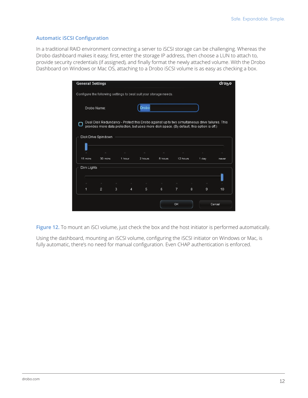#### **Automatic iSCSI Configuration**

In a traditional RAID environment connecting a server to iSCSI storage can be challenging. Whereas the Drobo dashboard makes it easy; first, enter the storage IP address, then choose a LUN to attach to, provide security credentials (if assigned), and finally format the newly attached volume. With the Drobo Dashboard on Windows or Mac OS, attaching to a Drobo iSCSI volume is as easy as checking a box.

| <b>General Settings</b>                                           |                     |        |        |               |                                                                                                                                                                                             |                |   |          | droho  |
|-------------------------------------------------------------------|---------------------|--------|--------|---------------|---------------------------------------------------------------------------------------------------------------------------------------------------------------------------------------------|----------------|---|----------|--------|
| Configure the following settings to best suit your storage needs. |                     |        |        |               |                                                                                                                                                                                             |                |   |          |        |
|                                                                   | Drobo Name:         |        |        | <b>Drobo</b>  |                                                                                                                                                                                             |                |   |          |        |
|                                                                   |                     |        |        |               | Dual Disk Redundancy - Protect this Drobo against up to two simultaneous drive failures. This<br>provides more data protection, but uses more disk space. (By default, this option is off.) |                |   |          |        |
|                                                                   | Disk Drive Spindown |        |        |               |                                                                                                                                                                                             |                |   |          |        |
|                                                                   |                     |        |        | and the       | $\sim$                                                                                                                                                                                      |                |   | $\Delta$ |        |
| 15 mins                                                           | 30 mins             |        | 1 hour | 2 hours       | 6 hours                                                                                                                                                                                     | 12 hours       |   | 1 day    | never  |
| Dim Lights                                                        |                     |        |        |               |                                                                                                                                                                                             |                |   |          |        |
|                                                                   | ×                   | $\sim$ |        | $\mathcal{L}$ | $\mathcal{A}_\mathcal{N}$                                                                                                                                                                   | ×              |   | ×        |        |
| 1                                                                 | $\overline{2}$      | 3      | 4      | 5             | 6                                                                                                                                                                                           | $\overline{7}$ | 8 | 9        | 10     |
|                                                                   |                     |        |        |               |                                                                                                                                                                                             | OK             |   |          | Cancel |

Figure 12. To mount an iSCI volume, just check the box and the host initiator is performed automatically.

Using the dashboard, mounting an iSCSI volume, configuring the iSCSI initiator on Windows or Mac, is fully automatic, there's no need for manual configuration. Even CHAP authentication is enforced.